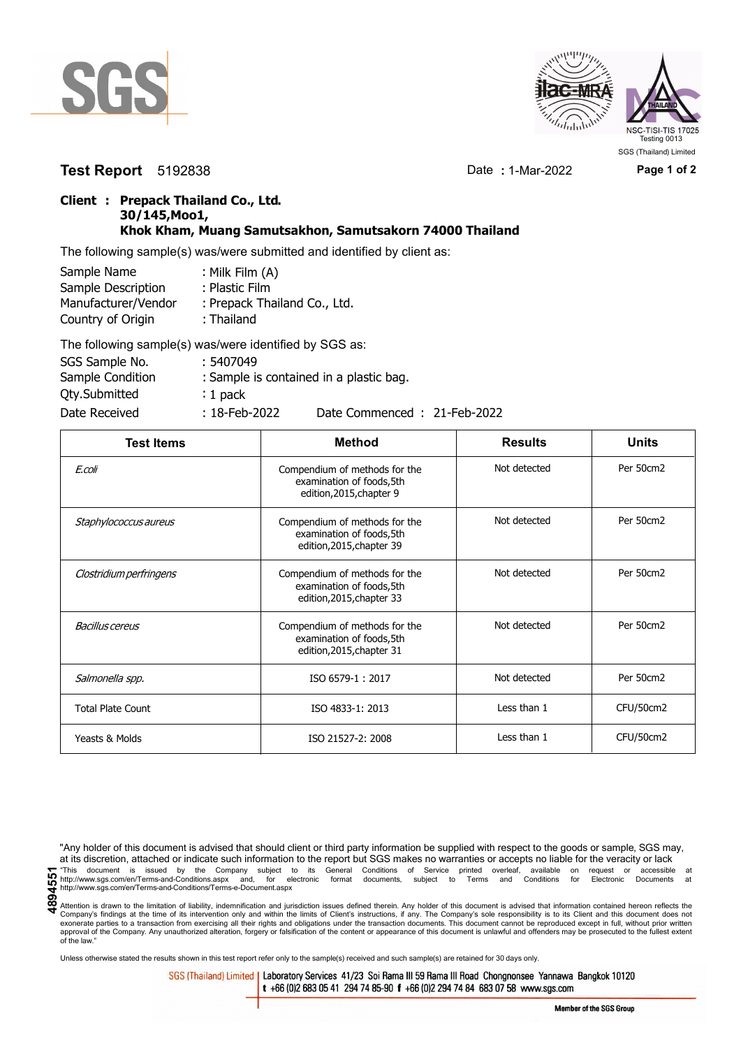



## **Test Report** 5192838 Date **:** 1-Mar-2022 **Page 1 of 2**

## **Client : Prepack Thailand Co., Ltd. 30/145,Moo1, Khok Kham, Muang Samutsakhon, Samutsakorn 74000 Thailand**

The following sample(s) was/were submitted and identified by client as:

| Sample Name         | : Milk Film (A)              |
|---------------------|------------------------------|
| Sample Description  | : Plastic Film               |
| Manufacturer/Vendor | : Prepack Thailand Co., Ltd. |
| Country of Origin   | : Thailand                   |
|                     | TILITI ISLA ILI ULI AAA      |

| The following sample(s) was/were identified by SGS as: |                  |                                         |
|--------------------------------------------------------|------------------|-----------------------------------------|
| SGS Sample No.                                         | : 5407049        |                                         |
| Sample Condition                                       |                  | : Sample is contained in a plastic bag. |
| <b>Qty.Submitted</b>                                   | $: 1$ pack       |                                         |
| Date Received                                          | $: 18$ -Feb-2022 | Date Commenced: 21-Feb-2022             |

| <b>Test Items</b>        | <b>Method</b>                                                                           | <b>Results</b> | <b>Units</b> |
|--------------------------|-----------------------------------------------------------------------------------------|----------------|--------------|
| E.coli                   | Compendium of methods for the<br>examination of foods, 5th<br>edition, 2015, chapter 9  | Not detected   | Per 50cm2    |
| Staphylococcus aureus    | Compendium of methods for the<br>examination of foods, 5th<br>edition, 2015, chapter 39 | Not detected   | Per 50cm2    |
| Clostridium perfringens  | Compendium of methods for the<br>examination of foods, 5th<br>edition, 2015, chapter 33 | Not detected   | Per 50cm2    |
| Bacillus cereus          | Compendium of methods for the<br>examination of foods, 5th<br>edition, 2015, chapter 31 | Not detected   | Per 50cm2    |
| Salmonella spp.          | ISO 6579-1: 2017                                                                        | Not detected   | Per 50cm2    |
| <b>Total Plate Count</b> | ISO 4833-1: 2013                                                                        | Less than 1    | CFU/50cm2    |
| Yeasts & Molds           | ISO 21527-2: 2008                                                                       | Less than 1    | CFU/50cm2    |

"Any holder of this document is advised that should client or third party information be supplied with respect to the goods or sample, SGS may, at its discretion, attached or indicate such information to the report but SGS makes no warranties or accepts no liable for the veracity or lack This document is issued by the Company subject to its General Conditions of Service printed overleaf, available on request or accessible at the entry.//www.sgs.com/en/Terms-and-Conditions.aspx and, for electronic format do http://www.sgs.com/en/Terms-and-Conditions/Terms-e-Document.aspx

Attention is drawn to the limitation of liability, indemnification and jurisdiction issues defined therein. Any holder of this document is advised that information contained hereon reflects the Company's findings at the time of its intervention only and within the limits of Client's instructions, if any. The Company's sole responsibility is to its Client and this document does not<br>exonerate parties to a transacti approval of the Company. Any unauthorized alteration, forgery or falsification of the content or appearance of this document is unlawful and offenders may be prosecuted to the fullest extent approval of the Company. Any un of the law."

Unless otherwise stated the results shown in this test report refer only to the sample(s) received and such sample(s) are retained for 30 days only.

SGS (Thailand) Limited | Laboratory Services 41/23 Soi Rama III 59 Rama III Road Chongnonsee Yannawa Bangkok 10120 t +66 (0)2 683 05 41 294 74 85-90 f +66 (0)2 294 74 84 683 07 58 www.sgs.com